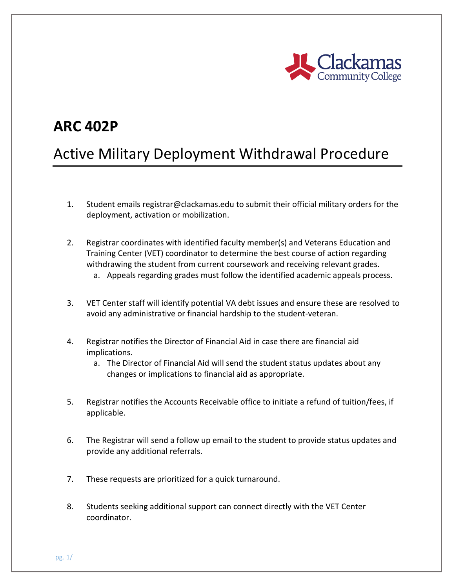

## **ARC 402P**

## Active Military Deployment Withdrawal Procedure

- 1. Student emails registrar@clackamas.edu to submit their official military orders for the deployment, activation or mobilization.
- 2. Registrar coordinates with identified faculty member(s) and Veterans Education and Training Center (VET) coordinator to determine the best course of action regarding withdrawing the student from current coursework and receiving relevant grades.
	- a. Appeals regarding grades must follow the identified academic appeals process.
- 3. VET Center staff will identify potential VA debt issues and ensure these are resolved to avoid any administrative or financial hardship to the student-veteran.
- 4. Registrar notifies the Director of Financial Aid in case there are financial aid implications.
	- a. The Director of Financial Aid will send the student status updates about any changes or implications to financial aid as appropriate.
- 5. Registrar notifies the Accounts Receivable office to initiate a refund of tuition/fees, if applicable.
- 6. The Registrar will send a follow up email to the student to provide status updates and provide any additional referrals.
- 7. These requests are prioritized for a quick turnaround.
- 8. Students seeking additional support can connect directly with the VET Center coordinator.